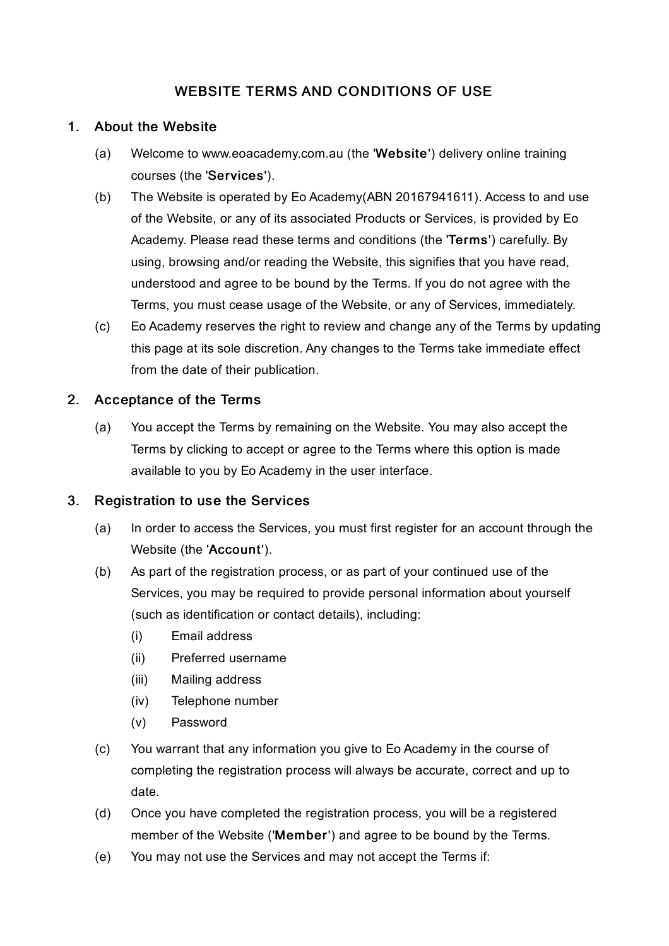# WEBSITE TERMS AND CONDITIONS OF USE

## 1. About the Website

- (a) Welcome to www.eoacademy.com.au (the 'Website') delivery online training courses (the 'Services').
- (b) The Website is operated by Eo Academy(ABN 20167941611). Access to and use of the Website, or any of its associated Products or Services, is provided by Eo Academy. Please read these terms and conditions (the 'Terms') carefully. By using, browsing and/or reading the Website, this signifies that you have read, understood and agree to be bound by the Terms. If you do not agree with the Terms, you must cease usage of the Website, or any of Services, immediately.
- (c) Eo Academy reserves the right to review and change any of the Terms by updating this page at its sole discretion. Any changes to the Terms take immediate effect from the date of their publication.

### 2. Acceptance of the Terms

(a) You accept the Terms by remaining on the Website. You may also accept the Terms by clicking to accept or agree to the Terms where this option is made available to you by Eo Academy in the user interface.

#### 3. Registration to use the Services

- (a) In order to access the Services, you must first register for an account through the Website (the 'Account').
- (b) As part of the registration process, or as part of your continued use of the Services, you may be required to provide personal information about yourself (such as identification or contact details), including:
	- (i) Email address
	- (ii) Preferred username
	- (iii) Mailing address
	- (iv) Telephone number
	- (v) Password
- $(c)$ You warrant that any information you give to Eo Academy in the course of completing the registration process will always be accurate, correct and up to date.
- (d) Once you have completed the registration process, you will be a registered member of the Website ('Member') and agree to be bound by the Terms.
- (e) You may not use the Services and may not accept the Terms if: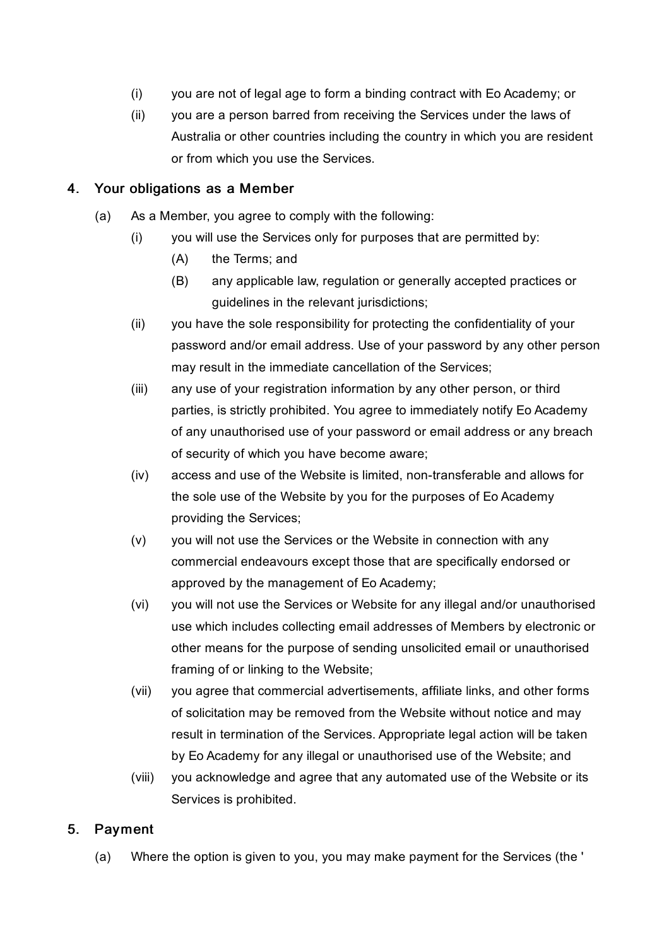- (i) you are not of legal age to form a binding contract with Eo Academy; or
- (ii) you are a person barred from receiving the Services under the laws of Australia or other countries including the country in which you are resident or from which you use the Services.

### 4. Your obligations as a Member

- (a) As a Member, you agree to comply with the following:
	- (i) you will use the Services only for purposes that are permitted by:
		- (A) the Terms; and
		- (B) any applicable law, regulation or generally accepted practices or guidelines in the relevant jurisdictions;
	- (ii) you have the sole responsibility for protecting the confidentiality of your password and/or email address. Use of your password by any other person may result in the immediate cancellation of the Services;
	- (iii) any use of your registration information by any other person, or third parties, is strictly prohibited. You agree to immediately notify Eo Academy of any unauthorised use of your password or email address or any breach of security of which you have become aware;
	- (iv) access and use of the Website is limited, non-transferable and allows for the sole use of the Website by you for the purposes of Eo Academy providing the Services;
	- (v) you will not use the Services or the Website in connection with any commercial endeavours except those that are specifically endorsed or approved by the management of Eo Academy;
	- (vi) you will not use the Services or Website for any illegal and/or unauthorised use which includes collecting email addresses of Members by electronic or other means for the purpose of sending unsolicited email or unauthorised framing of or linking to the Website;
	- (vii) you agree that commercial advertisements, affiliate links, and other forms of solicitation may be removed from the Website without notice and may result in termination of the Services. Appropriate legal action will be taken by Eo Academy for any illegal or unauthorised use of the Website; and
	- (viii) you acknowledge and agree that any automated use of the Website or its Services is prohibited.

### 5. Payment

(a) Where the option is given to you, you may make payment for the Services (the '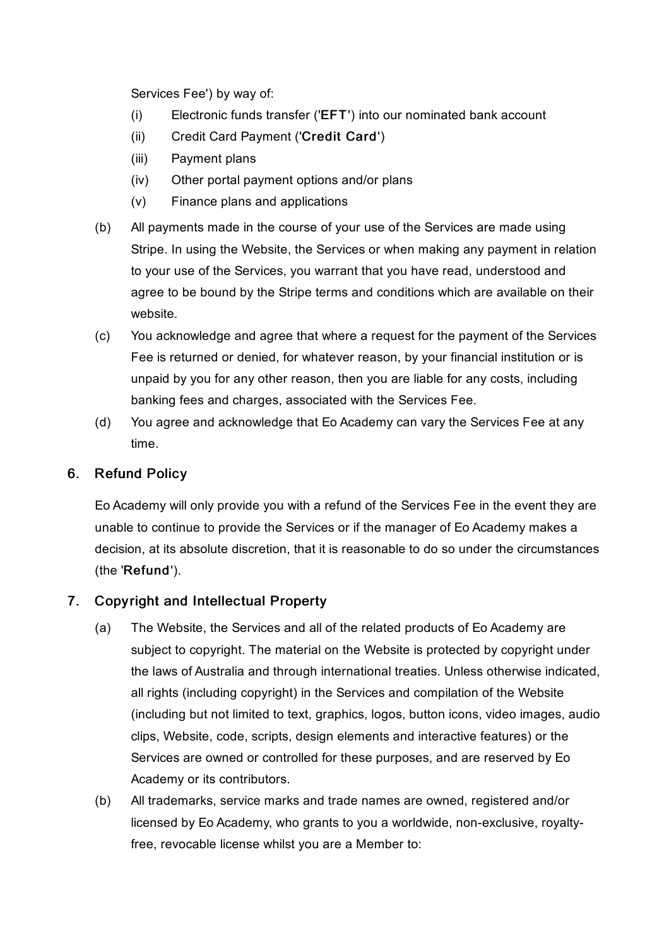Services Fee') by way of:

- (i) Electronic funds transfer ('EFT') into our nominated bank account
- (ii) Credit Card Payment ('Credit Card')
- (iii) Payment plans
- (iv) Other portal payment options and/or plans
- (v) Finance plans and applications
- (b) All payments made in the course of your use of the Services are made using Stripe. In using the Website, the Services or when making any payment in relation to your use of the Services, you warrant that you have read, understood and agree to be bound by the Stripe terms and conditions which are available on their website.
- (c) You acknowledge and agree that where a request for the payment of the Services Fee is returned or denied, for whatever reason, by your financial institution or is unpaid by you for any other reason, then you are liable for any costs, including banking fees and charges, associated with the Services Fee.
- (d) You agree and acknowledge that Eo Academy can vary the Services Fee at any time.

#### 6. Refund Policy

Eo Academy will only provide you with a refund of the Services Fee in the event they are unable to continue to provide the Services or if the manager of Eo Academy makes a decision, at its absolute discretion, that it is reasonable to do so under the circumstances (the 'Refund').

### 7. Copyright and Intellectual Property

- (a) The Website, the Services and all of the related products of Eo Academy are subject to copyright. The material on the Website is protected by copyright under the laws of Australia and through international treaties. Unless otherwise indicated, all rights (including copyright) in the Services and compilation of the Website (including but not limited to text, graphics, logos, button icons, video images, audio clips, Website, code, scripts, design elements and interactive features) or the Services are owned or controlled for these purposes, and are reserved by Eo Academy or its contributors.
- (b) All trademarks, service marks and trade names are owned, registered and/or licensed by Eo Academy, who grants to you a worldwide, non-exclusive, royaltyfree, revocable license whilst you are a Member to: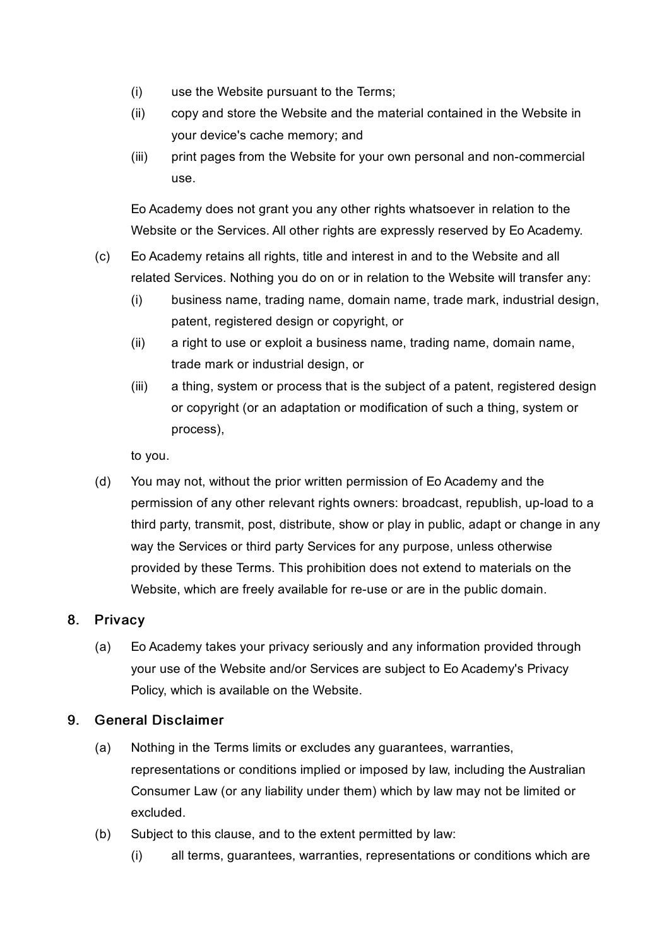- (i) use the Website pursuant to the Terms;
- (ii) copy and store the Website and the material contained in the Website in your device's cache memory; and
- (iii) print pages from the Website for your own personal and non-commercial use.

Eo Academy does not grant you any other rights whatsoever in relation to the Website or the Services. All other rights are expressly reserved by Eo Academy.

- (c) Eo Academy retains all rights, title and interest in and to the Website and all related Services. Nothing you do on or in relation to the Website will transfer any:
	- (i) business name, trading name, domain name, trade mark, industrial design, patent, registered design or copyright, or
	- (ii) a right to use or exploit a business name, trading name, domain name, trade mark or industrial design, or
	- (iii) a thing, system or process that is the subject of a patent, registered design or copyright (or an adaptation or modification of such a thing, system or process),

to you.

(d) You may not, without the prior written permission of Eo Academy and the permission of any other relevant rights owners: broadcast, republish, up-load to a third party, transmit, post, distribute, show or play in public, adapt or change in any way the Services or third party Services for any purpose, unless otherwise provided by these Terms. This prohibition does not extend to materials on the Website, which are freely available for re-use or are in the public domain.

### 8. Privacy

(a) Eo Academy takes your privacy seriously and any information provided through your use of the Website and/or Services are subject to Eo Academy's Privacy Policy, which is available on the Website.

### 9. General Disclaimer

- (a) Nothing in the Terms limits or excludes any guarantees, warranties, representations or conditions implied or imposed by law, including the Australian Consumer Law (or any liability under them) which by law may not be limited or excluded.
- (b) Subject to this clause, and to the extent permitted by law:
	- (i) all terms, guarantees, warranties, representations or conditions which are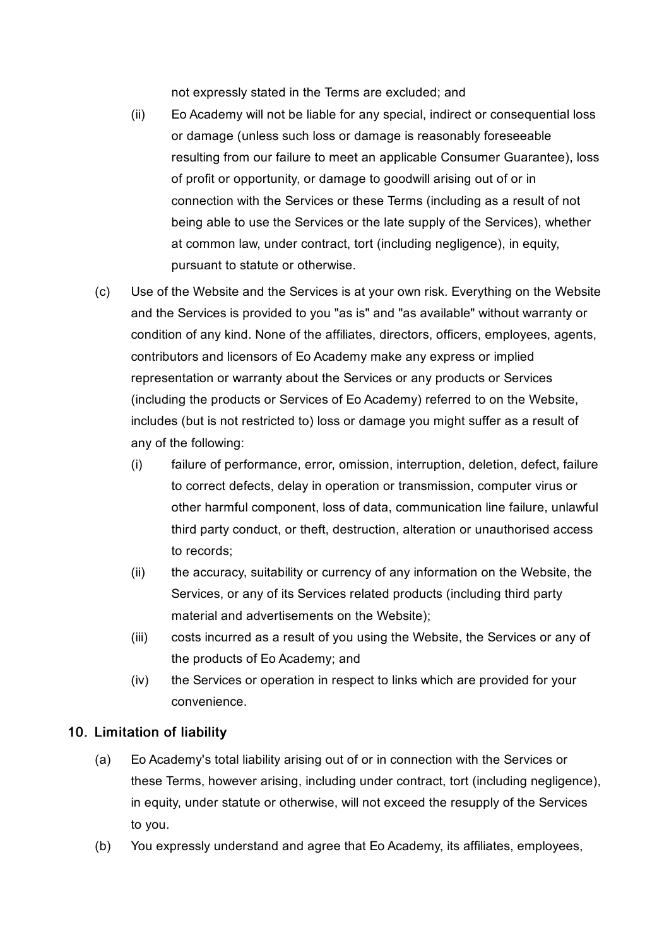not expressly stated in the Terms are excluded; and

- (ii) Eo Academy will not be liable for any special, indirect or consequential loss or damage (unless such loss or damage is reasonably foreseeable resulting from our failure to meet an applicable Consumer Guarantee), loss of profit or opportunity, or damage to goodwill arising out of or in connection with the Services or these Terms (including as a result of not being able to use the Services or the late supply of the Services), whether at common law, under contract, tort (including negligence), in equity, pursuant to statute or otherwise.
- $(c)$ Use of the Website and the Services is at your own risk. Everything on the Website and the Services is provided to you "as is" and "as available" without warranty or condition of any kind. None of the affiliates, directors, officers, employees, agents, contributors and licensors of Eo Academy make any express or implied representation or warranty about the Services or any products or Services (including the products or Services of Eo Academy) referred to on the Website, includes (but is not restricted to) loss or damage you might suffer as a result of any of the following:
	- (i) failure of performance, error, omission, interruption, deletion, defect, failure to correct defects, delay in operation or transmission, computer virus or other harmful component, loss of data, communication line failure, unlawful third party conduct, or theft, destruction, alteration or unauthorised access to records;
	- (ii) the accuracy, suitability or currency of any information on the Website, the Services, or any of its Services related products (including third party material and advertisements on the Website);
	- (iii) costs incurred as a result of you using the Website, the Services or any of the products of Eo Academy; and
	- (iv) the Services or operation in respect to links which are provided for your convenience.

## 10. Limitation of liability

- (a) Eo Academy's total liability arising out of or in connection with the Services or these Terms, however arising, including under contract, tort (including negligence), in equity, under statute or otherwise, will not exceed the resupply of the Services to you.
- (b) You expressly understand and agree that Eo Academy, its affiliates, employees,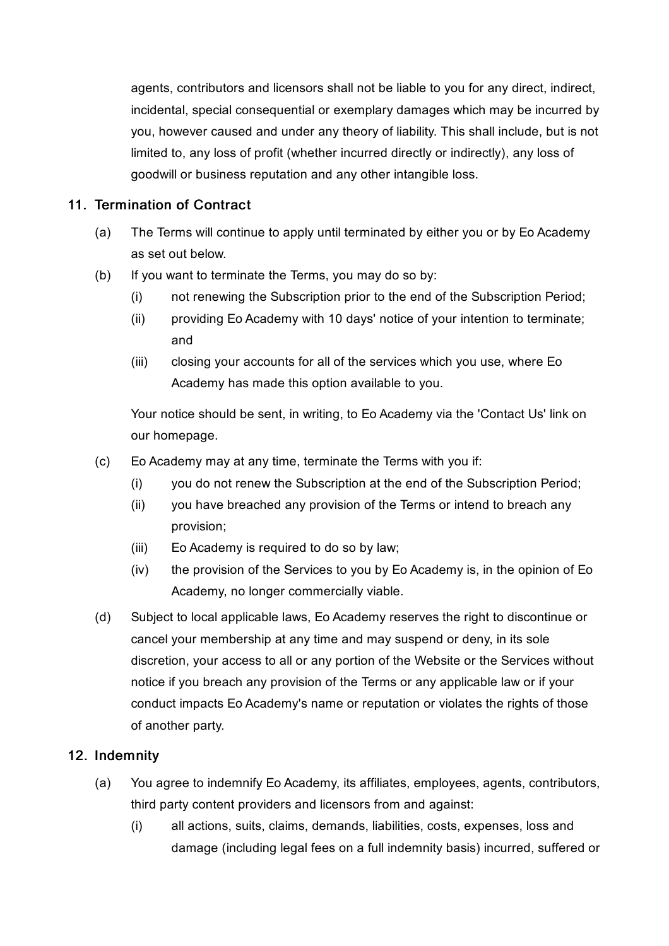agents, contributors and licensors shall not be liable to you for any direct, indirect, incidental, special consequential or exemplary damages which may be incurred by you, however caused and under any theory of liability. This shall include, but is not limited to, any loss of profit (whether incurred directly or indirectly), any loss of goodwill or business reputation and any other intangible loss.

### 11. Termination of Contract

- (a) The Terms will continue to apply until terminated by either you or by Eo Academy as set out below.
- (b) If you want to terminate the Terms, you may do so by:
	- (i) not renewing the Subscription prior to the end of the Subscription Period;
	- (ii) providing Eo Academy with 10 days' notice of your intention to terminate; and
	- (iii) closing your accounts for all of the services which you use, where Eo Academy has made this option available to you.

Your notice should be sent, in writing, to Eo Academy via the 'Contact Us' link on our homepage.

- $(c)$ Eo Academy may at any time, terminate the Terms with you if:
	- (i) you do not renew the Subscription at the end of the Subscription Period;
	- (ii) you have breached any provision of the Terms or intend to breach any provision;
	- (iii) Eo Academy is required to do so by law;
	- (iv) the provision of the Services to you by Eo Academy is, in the opinion of Eo Academy, no longer commercially viable.
- (d) Subject to local applicable laws, Eo Academy reserves the right to discontinue or cancel your membership at any time and may suspend or deny, in its sole discretion, your access to all or any portion of the Website or the Services without notice if you breach any provision of the Terms or any applicable law or if your conduct impacts Eo Academy's name or reputation or violates the rights of those of another party.

## 12. Indemnity

- (a) You agree to indemnify Eo Academy, its affiliates, employees, agents, contributors, third party content providers and licensors from and against:
	- (i) all actions, suits, claims, demands, liabilities, costs, expenses, loss and damage (including legal fees on a full indemnity basis) incurred, suffered or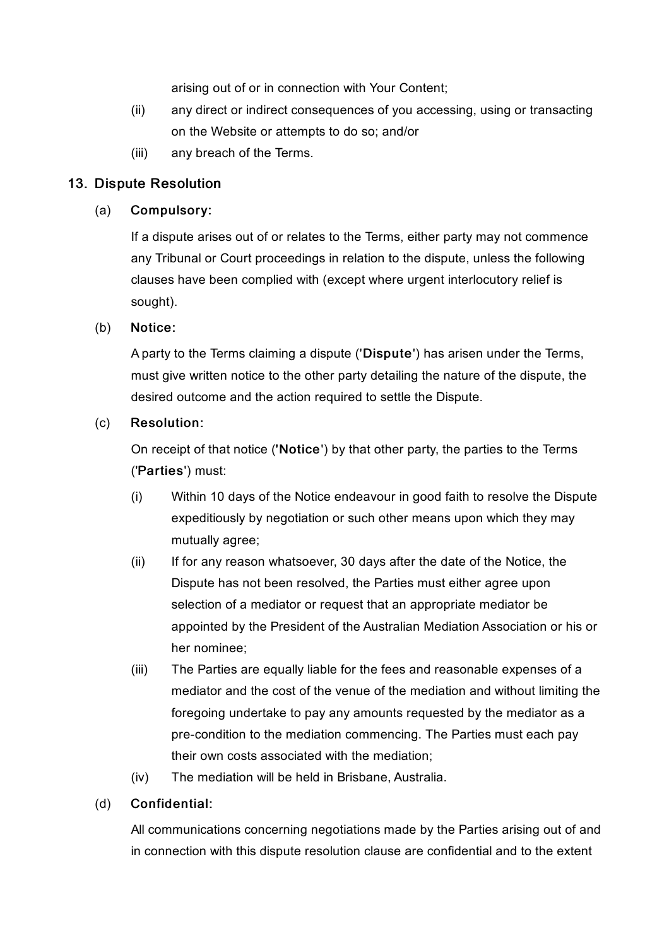arising out of or in connection with Your Content;

- (ii) any direct or indirect consequences of you accessing, using or transacting on the Website or attempts to do so; and/or
- (iii) any breach of the Terms.

### 13. Dispute Resolution

(a) Compulsory:

> If a dispute arises out of or relates to the Terms, either party may not commence any Tribunal or Court proceedings in relation to the dispute, unless the following clauses have been complied with (except where urgent interlocutory relief is sought).

#### (b) Notice:

A party to the Terms claiming a dispute ('Dispute') has arisen under the Terms, must give written notice to the other party detailing the nature of the dispute, the desired outcome and the action required to settle the Dispute.

#### $(c)$ Resolution:

On receipt of that notice ('Notice') by that other party, the parties to the Terms ('Parties') must:

- (i) Within 10 days of the Notice endeavour in good faith to resolve the Dispute expeditiously by negotiation or such other means upon which they may mutually agree;
- (ii) If for any reason whatsoever, 30 days after the date of the Notice, the Dispute has not been resolved, the Parties must either agree upon selection of a mediator or request that an appropriate mediator be appointed by the President of the Australian Mediation Association or his or her nominee;
- (iii) The Parties are equally liable for the fees and reasonable expenses of a mediator and the cost of the venue of the mediation and without limiting the foregoing undertake to pay any amounts requested by the mediator as a pre-condition to the mediation commencing. The Parties must each pay their own costs associated with the mediation;
- (iv) The mediation will be held in Brisbane, Australia.

### (d) Confidential:

All communications concerning negotiations made by the Parties arising out of and in connection with this dispute resolution clause are confidential and to the extent